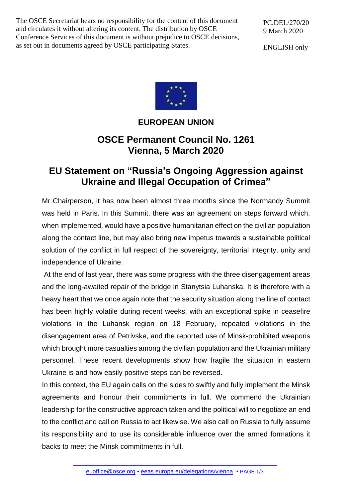The OSCE Secretariat bears no responsibility for the content of this document and circulates it without altering its content. The distribution by OSCE Conference Services of this document is without prejudice to OSCE decisions, as set out in documents agreed by OSCE participating States.

PC.DEL/270/20 9 March 2020

ENGLISH only



## **EUROPEAN UNION**

## **OSCE Permanent Council No. 1261 Vienna, 5 March 2020**

## **EU Statement on "Russia's Ongoing Aggression against Ukraine and Illegal Occupation of Crimea"**

Mr Chairperson, it has now been almost three months since the Normandy Summit was held in Paris. In this Summit, there was an agreement on steps forward which, when implemented, would have a positive humanitarian effect on the civilian population along the contact line, but may also bring new impetus towards a sustainable political solution of the conflict in full respect of the sovereignty, territorial integrity, unity and independence of Ukraine.

At the end of last year, there was some progress with the three disengagement areas and the long-awaited repair of the bridge in Stanytsia Luhanska. It is therefore with a heavy heart that we once again note that the security situation along the line of contact has been highly volatile during recent weeks, with an exceptional spike in ceasefire violations in the Luhansk region on 18 February, repeated violations in the disengagement area of Petrivske, and the reported use of Minsk-prohibited weapons which brought more casualties among the civilian population and the Ukrainian military personnel. These recent developments show how fragile the situation in eastern Ukraine is and how easily positive steps can be reversed.

In this context, the EU again calls on the sides to swiftly and fully implement the Minsk agreements and honour their commitments in full. We commend the Ukrainian leadership for the constructive approach taken and the political will to negotiate an end to the conflict and call on Russia to act likewise. We also call on Russia to fully assume its responsibility and to use its considerable influence over the armed formations it backs to meet the Minsk commitments in full.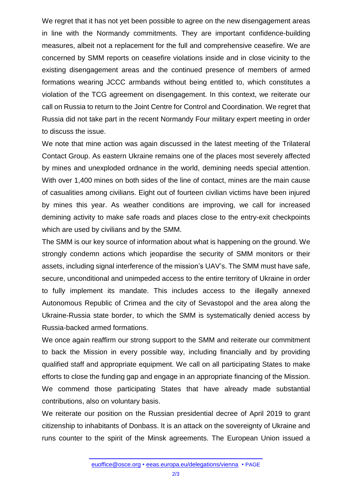We regret that it has not yet been possible to agree on the new disengagement areas in line with the Normandy commitments. They are important confidence-building measures, albeit not a replacement for the full and comprehensive ceasefire. We are concerned by SMM reports on ceasefire violations inside and in close vicinity to the existing disengagement areas and the continued presence of members of armed formations wearing JCCC armbands without being entitled to, which constitutes a violation of the TCG agreement on disengagement. In this context, we reiterate our call on Russia to return to the Joint Centre for Control and Coordination. We regret that Russia did not take part in the recent Normandy Four military expert meeting in order to discuss the issue.

We note that mine action was again discussed in the latest meeting of the Trilateral Contact Group. As eastern Ukraine remains one of the places most severely affected by mines and unexploded ordnance in the world, demining needs special attention. With over 1,400 mines on both sides of the line of contact, mines are the main cause of casualities among civilians. Eight out of fourteen civilian victims have been injured by mines this year. As weather conditions are improving, we call for increased demining activity to make safe roads and places close to the entry-exit checkpoints which are used by civilians and by the SMM.

The SMM is our key source of information about what is happening on the ground. We strongly condemn actions which jeopardise the security of SMM monitors or their assets, including signal interference of the mission's UAV's. The SMM must have safe, secure, unconditional and unimpeded access to the entire territory of Ukraine in order to fully implement its mandate. This includes access to the illegally annexed Autonomous Republic of Crimea and the city of Sevastopol and the area along the Ukraine-Russia state border, to which the SMM is systematically denied access by Russia-backed armed formations.

We once again reaffirm our strong support to the SMM and reiterate our commitment to back the Mission in every possible way, including financially and by providing qualified staff and appropriate equipment. We call on all participating States to make efforts to close the funding gap and engage in an appropriate financing of the Mission. We commend those participating States that have already made substantial contributions, also on voluntary basis.

We reiterate our position on the Russian presidential decree of April 2019 to grant citizenship to inhabitants of Donbass. It is an attack on the sovereignty of Ukraine and runs counter to the spirit of the Minsk agreements. The European Union issued a